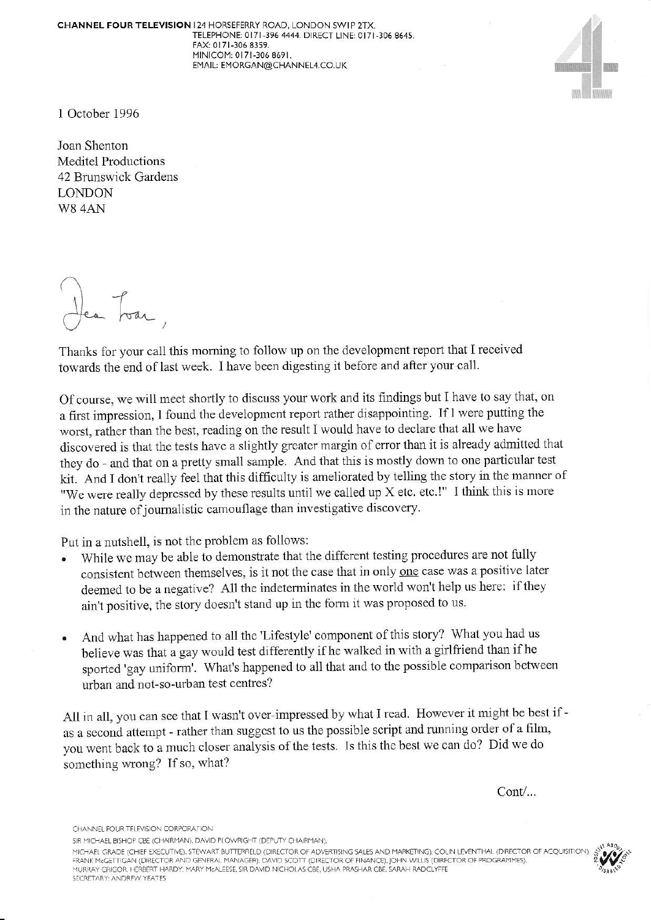CHANNEL FOUR TELEVISION I24 HORSEFERRY ROAD. LONDON SWIP 2TX TELEPHONE: 0171-396 4444. DIRECT LINE: 0171-306 8645. FAX: 0171-306 8359. MINICOM: 0171-306 8691. EMAIL: EMORGAN@CHANNEL4.CO.UK



I October 1996

Joan Shenton Meditel Productions 42 Brunswick Gardens LONDON W8 4AN

Ia.,

Thanks for your call this morning to follow up on the development report that I received towards the end of last week. I have been digesting it before and after your call.

Of course, we will meet shortly to discuss your work and its findings but I have to say that, on a first impression, I found the development report rather disappointing. If I were putting the worst, rather than the best, reading on the result I would have to declare that all we have discovered is that the tests have a slightly greater margin of error than it is already admitted that they do - and that on a pretty small sample. And that this is mostly down to one particular test kit. And I don't really feel that this difficulty is ameliorated by telling the story in the manner of "We were really depressed by these results until we called up X etc. etc.!" I think this is more in the nature of journalistic camouflage than investigative discovery.

Put in a nutshell, is not the problem as follows:

- While we may be able to demonstrate that the different testing procedures are not fully consistent between themselves, is it not the case that in only one case was a positive later deemed to be a negative? All the indeterminates in the world won't help us here: if they ain't positive, the story doesn't stand up in the form it was proposed to us.
- And what has happened to all the 'Lifestyle' component of this story? What you had us believe was that a gay would test differently if he walked in with a girlfriend than if he sported 'gay uniform'. What's happened to all that and to the possible comparison between urban and not-so-urban test centres?

All in all, you can see that I wasn't over-impressed by what I read. However it might be best if as a second attempt - rather than suggest to us the possible script and running order of a film, you went back to a much closer analysis of the tests. Is this the best we can do? Did we do somethirg wrong? If so, what?

Cont/...

CHANNEL FOUR TELEVISION CORPORATION

SIR MICHAEL BISHOP CBE (CHAIRMAN), DAVID PI OWRIGHT (DEPUTY CHAIRMAN).

MICHAEL GRADE (CHIEF EXECUTIVE), STEWART BUTTERFIELD (DIRECTOR OF ADVERTISING SALES AND MARKETING), COLIN LEVENTHAL (DIRECTOR OF ACQUISITION) FRANK MEGETTIGAN (DIRECTOR AND GENFRAL MANAGER), DAVID SCOTT (DIRECTOR OF FINANCE), JOHN WILLIS (DIRECTOR OF PROGRAMMES). SECRETARY: ANDREW YEATES